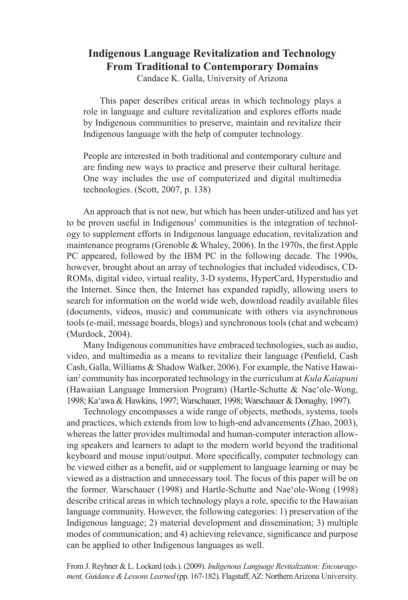# **Indigenous Language Revitalization and Technology From Traditional to Contemporary Domains**

Candace K. Galla, University of Arizona

This paper describes critical areas in which technology plays a role in language and culture revitalization and explores efforts made by Indigenous communities to preserve, maintain and revitalize their Indigenous language with the help of computer technology.

People are interested in both traditional and contemporary culture and are finding new ways to practice and preserve their cultural heritage. One way includes the use of computerized and digital multimedia technologies. (Scott, 2007, p. 138)

An approach that is not new, but which has been under-utilized and has yet to be proven useful in Indigenous<sup>1</sup> communities is the integration of technology to supplement efforts in Indigenous language education, revitalization and maintenance programs (Grenoble & Whaley, 2006). In the 1970s, the first Apple PC appeared, followed by the IBM PC in the following decade. The 1990s, however, brought about an array of technologies that included videodiscs, CD-ROMs, digital video, virtual reality, 3-D systems, HyperCard, Hyperstudio and the Internet. Since then, the Internet has expanded rapidly, allowing users to search for information on the world wide web, download readily available files (documents, videos, music) and communicate with others via asynchronous tools (e-mail, message boards, blogs) and synchronous tools (chat and webcam) (Murdock, 2004).

Many Indigenous communities have embraced technologies, such as audio, video, and multimedia as a means to revitalize their language (Penfield, Cash Cash, Galla, Williams & Shadow Walker, 2006). For example, the Native Hawaiian<sup>2</sup> community has incorporated technology in the curriculum at *Kula Kaiapuni* (Hawaiian Language Immersion Program) (Hartle-Schutte & Nae'ole-Wong, 1998; Ka'awa & Hawkins, 1997; Warschauer, 1998; Warschauer & Donaghy, 1997).

Technology encompasses a wide range of objects, methods, systems, tools and practices, which extends from low to high-end advancements (Zhao, 2003), whereas the latter provides multimodal and human-computer interaction allowing speakers and learners to adapt to the modern world beyond the traditional keyboard and mouse input/output. More specifically, computer technology can be viewed either as a benefit, aid or supplement to language learning or may be viewed as a distraction and unnecessary tool. The focus of this paper will be on the former. Warschauer (1998) and Hartle-Schutte and Nae'ole-Wong (1998) describe critical areas in which technology plays a role, specific to the Hawaiian language community. However, the following categories: 1) preservation of the Indigenous language; 2) material development and dissemination; 3) multiple modes of communication; and 4) achieving relevance, significance and purpose can be applied to other Indigenous languages as well.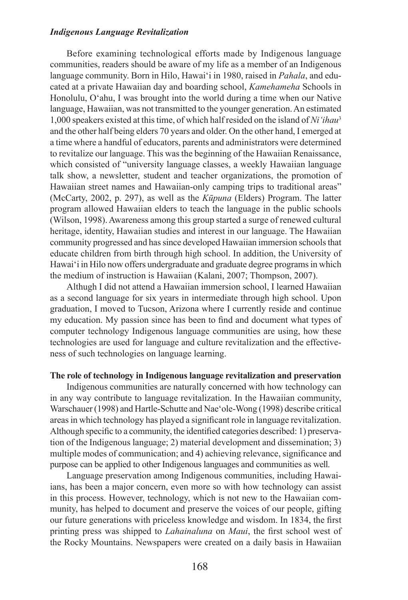Before examining technological efforts made by Indigenous language communities, readers should be aware of my life as a member of an Indigenous language community. Born in Hilo, Hawai'i in 1980, raised in *Pahala*, and educated at a private Hawaiian day and boarding school, *Kamehameha* Schools in Honolulu, O'ahu, I was brought into the world during a time when our Native language, Hawaiian, was not transmitted to the younger generation. An estimated 1,000 speakers existed at this time, of which half resided on the island of *Ni'ihau*<sup>3</sup> and the other half being elders 70 years and older. On the other hand, I emerged at a time where a handful of educators, parents and administrators were determined to revitalize our language. This was the beginning of the Hawaiian Renaissance, which consisted of "university language classes, a weekly Hawaiian language talk show, a newsletter, student and teacher organizations, the promotion of Hawaiian street names and Hawaiian-only camping trips to traditional areas" (McCarty, 2002, p. 297), as well as the *Kūpuna* (Elders) Program. The latter program allowed Hawaiian elders to teach the language in the public schools (Wilson, 1998). Awareness among this group started a surge of renewed cultural heritage, identity, Hawaiian studies and interest in our language. The Hawaiian community progressed and has since developed Hawaiian immersion schools that educate children from birth through high school. In addition, the University of Hawai'i in Hilo now offers undergraduate and graduate degree programs in which the medium of instruction is Hawaiian (Kalani, 2007; Thompson, 2007).

Althugh I did not attend a Hawaiian immersion school, I learned Hawaiian as a second language for six years in intermediate through high school. Upon graduation, I moved to Tucson, Arizona where I currently reside and continue my education. My passion since has been to find and document what types of computer technology Indigenous language communities are using, how these technologies are used for language and culture revitalization and the effectiveness of such technologies on language learning.

# **The role of technology in Indigenous language revitalization and preservation**

Indigenous communities are naturally concerned with how technology can in any way contribute to language revitalization. In the Hawaiian community, Warschauer (1998) and Hartle-Schutte and Nae'ole-Wong (1998) describe critical areas in which technology has played a significant role in language revitalization. Although specific to a community, the identified categories described: 1) preservation of the Indigenous language; 2) material development and dissemination; 3) multiple modes of communication; and 4) achieving relevance, significance and purpose can be applied to other Indigenous languages and communities as well.

Language preservation among Indigenous communities, including Hawaiians, has been a major concern, even more so with how technology can assist in this process. However, technology, which is not new to the Hawaiian community, has helped to document and preserve the voices of our people, gifting our future generations with priceless knowledge and wisdom. In 1834, the first printing press was shipped to *Lahainaluna* on *Maui*, the first school west of the Rocky Mountains. Newspapers were created on a daily basis in Hawaiian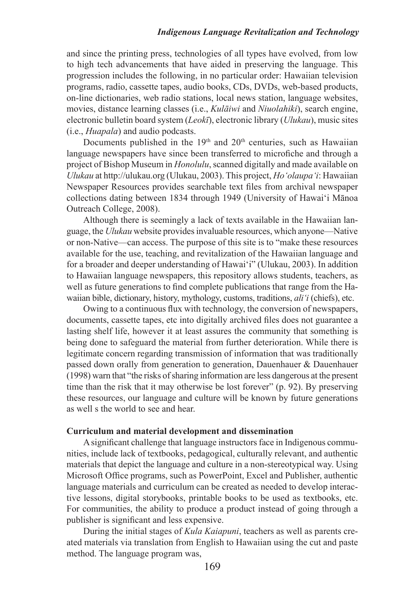and since the printing press, technologies of all types have evolved, from low to high tech advancements that have aided in preserving the language. This progression includes the following, in no particular order: Hawaiian television programs, radio, cassette tapes, audio books, CDs, DVDs, web-based products, on-line dictionaries, web radio stations, local news station, language websites, movies, distance learning classes (i.e., *Kulāiwi* and *Niuolahiki*), search engine, electronic bulletin board system (*Leokī*), electronic library (*Ulukau*), music sites (i.e., *Huapala*) and audio podcasts.

Documents published in the  $19<sup>th</sup>$  and  $20<sup>th</sup>$  centuries, such as Hawaiian language newspapers have since been transferred to microfiche and through a project of Bishop Museum in *Honolulu*, scanned digitally and made available on *Ulukau* at<http://ulukau.org> (Ulukau, 2003). This project, *Ho'olaupa'i*: Hawaiian Newspaper Resources provides searchable text files from archival newspaper collections dating between 1834 through 1949 (University of Hawai'i Mānoa Outreach College, 2008).

Although there is seemingly a lack of texts available in the Hawaiian language, the *Ulukau* website provides invaluable resources, which anyone—Native or non-Native—can access. The purpose of this site is to "make these resources available for the use, teaching, and revitalization of the Hawaiian language and for a broader and deeper understanding of Hawai'i" (Ulukau, 2003). In addition to Hawaiian language newspapers, this repository allows students, teachers, as well as future generations to find complete publications that range from the Hawaiian bible, dictionary, history, mythology, customs, traditions, *ali'i* (chiefs), etc.

Owing to a continuous flux with technology, the conversion of newspapers, documents, cassette tapes, etc into digitally archived files does not guarantee a lasting shelf life, however it at least assures the community that something is being done to safeguard the material from further deterioration. While there is legitimate concern regarding transmission of information that was traditionally passed down orally from generation to generation, Dauenhauer & Dauenhauer (1998) warn that "the risks of sharing information are less dangerous at the present time than the risk that it may otherwise be lost forever" (p. 92). By preserving these resources, our language and culture will be known by future generations as well s the world to see and hear.

#### **Curriculum and material development and dissemination**

A significant challenge that language instructors face in Indigenous communities, include lack of textbooks, pedagogical, culturally relevant, and authentic materials that depict the language and culture in a non-stereotypical way. Using Microsoft Office programs, such as PowerPoint, Excel and Publisher, authentic language materials and curriculum can be created as needed to develop interactive lessons, digital storybooks, printable books to be used as textbooks, etc. For communities, the ability to produce a product instead of going through a publisher is significant and less expensive.

During the initial stages of *Kula Kaiapuni*, teachers as well as parents created materials via translation from English to Hawaiian using the cut and paste method. The language program was,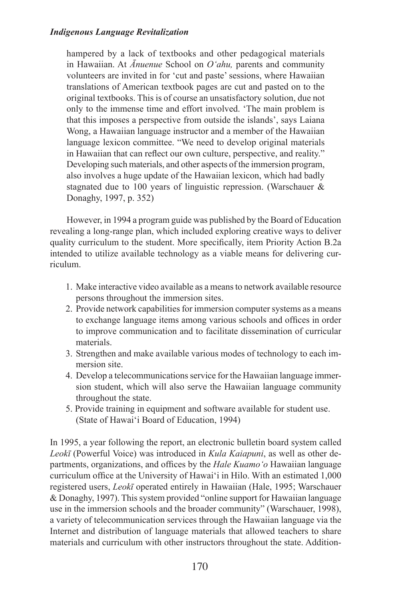hampered by a lack of textbooks and other pedagogical materials in Hawaiian. At *Ānuenue* School on *O'ahu,* parents and community volunteers are invited in for 'cut and paste' sessions, where Hawaiian translations of American textbook pages are cut and pasted on to the original textbooks. This is of course an unsatisfactory solution, due not only to the immense time and effort involved. 'The main problem is that this imposes a perspective from outside the islands', says Laiana Wong, a Hawaiian language instructor and a member of the Hawaiian language lexicon committee. "We need to develop original materials in Hawaiian that can reflect our own culture, perspective, and reality." Developing such materials, and other aspects of the immersion program, also involves a huge update of the Hawaiian lexicon, which had badly stagnated due to 100 years of linguistic repression. (Warschauer & Donaghy, 1997, p. 352)

However, in 1994 a program guide was published by the Board of Education revealing a long-range plan, which included exploring creative ways to deliver quality curriculum to the student. More specifically, item Priority Action B.2a intended to utilize available technology as a viable means for delivering curriculum.

- 1. Make interactive video available as a means to network available resource persons throughout the immersion sites.
- 2. Provide network capabilities for immersion computer systems as a means to exchange language items among various schools and offices in order to improve communication and to facilitate dissemination of curricular materials.
- 3. Strengthen and make available various modes of technology to each immersion site.
- 4. Develop a telecommunications service for the Hawaiian language immersion student, which will also serve the Hawaiian language community throughout the state.
- 5. Provide training in equipment and software available for student use. (State of Hawai'i Board of Education, 1994)

In 1995, a year following the report, an electronic bulletin board system called *Leokī* [\(Powerful Voice\)](http://www.olelo.hawaii.edu/enehana/leoki.php) was introduced in *Kula Kaiapuni*, as well as other departments, organizations, and offices by the *Hale Kuamo'o* Hawaiian language curriculum office at the University of Hawai'i in Hilo. With an estimated 1,000 registered users, *Leokī* operated entirely in Hawaiian (Hale, 1995; Warschauer & Donaghy, 1997). This system provided "online support for Hawaiian language use in the immersion schools and the broader community" (Warschauer, 1998), a variety of telecommunication services through the Hawaiian language via the Internet and distribution of language materials that allowed teachers to share materials and curriculum with other instructors throughout the state. Addition-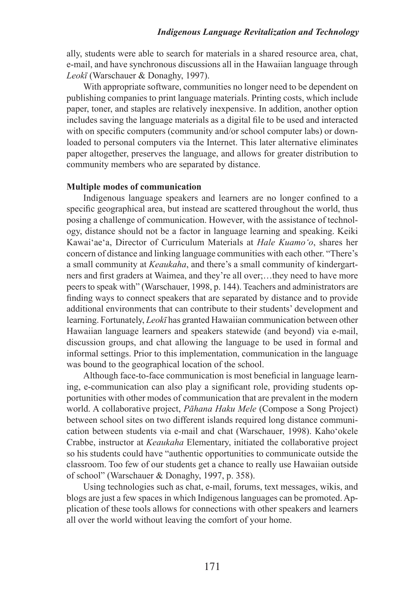ally, students were able to search for materials in a shared resource area, chat, e-mail, and have synchronous discussions all in the Hawaiian language through *Leokī* (Warschauer & Donaghy, 1997).

With appropriate software, communities no longer need to be dependent on publishing companies to print language materials. Printing costs, which include paper, toner, and staples are relatively inexpensive. In addition, another option includes saving the language materials as a digital file to be used and interacted with on specific computers (community and/or school computer labs) or downloaded to personal computers via the Internet. This later alternative eliminates paper altogether, preserves the language, and allows for greater distribution to community members who are separated by distance.

#### **Multiple modes of communication**

Indigenous language speakers and learners are no longer confined to a specific geographical area, but instead are scattered throughout the world, thus posing a challenge of communication. However, with the assistance of technology, distance should not be a factor in language learning and speaking. Keiki Kawai'ae'a, Director of Curriculum Materials at *Hale Kuamo'o*, shares her concern of distance and linking language communities with each other. "There's a small community at *Keaukaha*, and there's a small community of kindergartners and first graders at Waimea, and they're all over;…they need to have more peers to speak with" (Warschauer, 1998, p. 144). Teachers and administrators are finding ways to connect speakers that are separated by distance and to provide additional environments that can contribute to their students' development and learning. Fortunately, *Leokī* has granted Hawaiian communication between other Hawaiian language learners and speakers statewide (and beyond) via e-mail, discussion groups, and chat allowing the language to be used in formal and informal settings. Prior to this implementation, communication in the language was bound to the geographical location of the school.

Although face-to-face communication is most beneficial in language learning, e-communication can also play a significant role, providing students opportunities with other modes of communication that are prevalent in the modern world. A collaborative project, *Pāhana Haku Mele* (Compose a Song Project) between school sites on two different islands required long distance communication between students via e-mail and chat (Warschauer, 1998). Kaho'okele Crabbe, instructor at *Keaukaha* Elementary, initiated the collaborative project so his students could have "authentic opportunities to communicate outside the classroom. Too few of our students get a chance to really use Hawaiian outside of school" (Warschauer & Donaghy, 1997, p. 358).

Using technologies such as chat, e-mail, forums, text messages, wikis, and blogs are just a few spaces in which Indigenous languages can be promoted. Application of these tools allows for connections with other speakers and learners all over the world without leaving the comfort of your home.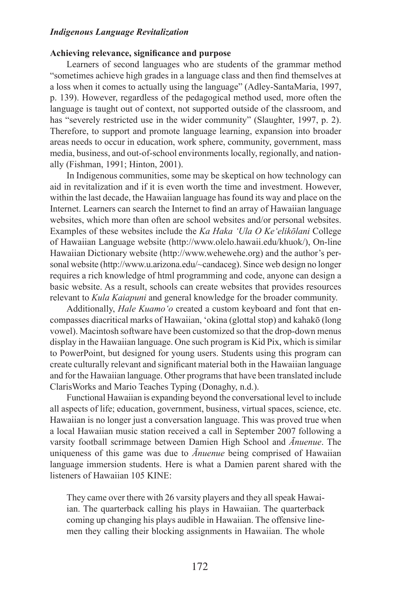## **Achieving relevance, significance and purpose**

Learners of second languages who are students of the grammar method "sometimes achieve high grades in a language class and then find themselves at a loss when it comes to actually using the language" (Adley-SantaMaria, 1997, p. 139). However, regardless of the pedagogical method used, more often the language is taught out of context, not supported outside of the classroom, and has "severely restricted use in the wider community" (Slaughter, 1997, p. 2). Therefore, to support and promote language learning, expansion into broader areas needs to occur in education, work sphere, community, government, mass media, business, and out-of-school environments locally, regionally, and nationally (Fishman, 1991; Hinton, 2001).

In Indigenous communities, some may be skeptical on how technology can aid in revitalization and if it is even worth the time and investment. However, within the last decade, the Hawaiian language has found its way and place on the Internet. Learners can search the Internet to find an array of Hawaiian language websites, which more than often are school websites and/or personal websites. Examples of these websites include the *Ka Haka 'Ula O Ke'elikōlani* College of Hawaiian Language website ([http://www.olelo.hawaii.edu/khuok/\)](http://www.olelo.hawaii.edu/khuok/), On-line Hawaiian Dictionary website (<http://www.wehewehe.org>) and the author's personal website (<http://www.u.arizona.edu/~candaceg>). Since web design no longer requires a rich knowledge of html programming and code, anyone can design a basic website. As a result, schools can create websites that provides resources relevant to *Kula Kaiapuni* and general knowledge for the broader community.

Additionally, *Hale Kuamo'o* created a custom keyboard and font that encompasses diacritical marks of Hawaiian, 'okina (glottal stop) and kahakō (long vowel). Macintosh software have been customized so that the drop-down menus display in the Hawaiian language. One such program is Kid Pix, which is similar to PowerPoint, but designed for young users. Students using this program can create culturally relevant and significant material both in the Hawaiian language and for the Hawaiian language. Other programs that have been translated include ClarisWorks and Mario Teaches Typing (Donaghy, n.d.).

Functional Hawaiian is expanding beyond the conversational level to include all aspects of life; education, government, business, virtual spaces, science, etc. Hawaiian is no longer just a conversation language. This was proved true when a local Hawaiian music station received a call in September 2007 following a varsity football scrimmage between Damien High School and *Ānuenue*. The uniqueness of this game was due to *Ānuenue* being comprised of Hawaiian language immersion students. Here is what a Damien parent shared with the listeners of Hawaiian 105 KINE:

They came over there with 26 varsity players and they all speak Hawaiian. The quarterback calling his plays in Hawaiian. The quarterback coming up changing his plays audible in Hawaiian. The offensive linemen they calling their blocking assignments in Hawaiian. The whole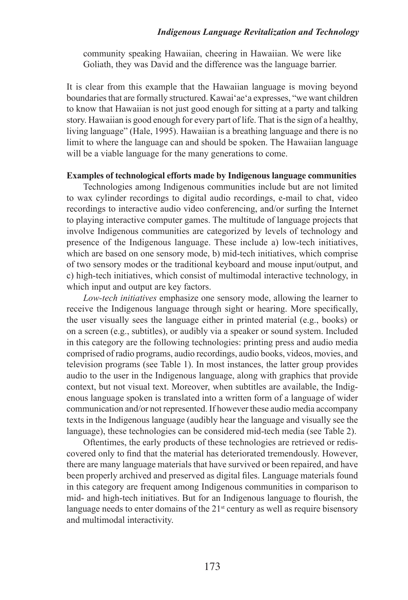community speaking Hawaiian, cheering in Hawaiian. We were like Goliath, they was David and the difference was the language barrier.

It is clear from this example that the Hawaiian language is moving beyond boundaries that are formally structured. Kawai'ae'a expresses, "we want children to know that Hawaiian is not just good enough for sitting at a party and talking story. Hawaiian is good enough for every part of life. That is the sign of a healthy, living language" (Hale, 1995). Hawaiian is a breathing language and there is no limit to where the language can and should be spoken. The Hawaiian language will be a viable language for the many generations to come.

## **Examples of technological efforts made by Indigenous language communities**

Technologies among Indigenous communities include but are not limited to wax cylinder recordings to digital audio recordings, e-mail to chat, video recordings to interactive audio video conferencing, and/or surfing the Internet to playing interactive computer games. The multitude of language projects that involve Indigenous communities are categorized by levels of technology and presence of the Indigenous language. These include a) low-tech initiatives, which are based on one sensory mode, b) mid-tech initiatives, which comprise of two sensory modes or the traditional keyboard and mouse input/output, and c) high-tech initiatives, which consist of multimodal interactive technology, in which input and output are key factors.

*Low-tech initiatives* emphasize one sensory mode, allowing the learner to receive the Indigenous language through sight or hearing. More specifically, the user visually sees the language either in printed material (e.g., books) or on a screen (e.g., subtitles), or audibly via a speaker or sound system. Included in this category are the following technologies: printing press and audio media comprised of radio programs, audio recordings, audio books, videos, movies, and television programs (see Table 1). In most instances, the latter group provides audio to the user in the Indigenous language, along with graphics that provide context, but not visual text. Moreover, when subtitles are available, the Indigenous language spoken is translated into a written form of a language of wider communication and/or not represented. If however these audio media accompany texts in the Indigenous language (audibly hear the language and visually see the language), these technologies can be considered mid-tech media (see Table 2).

Oftentimes, the early products of these technologies are retrieved or rediscovered only to find that the material has deteriorated tremendously. However, there are many language materials that have survived or been repaired, and have been properly archived and preserved as digital files. Language materials found in this category are frequent among Indigenous communities in comparison to mid- and high-tech initiatives. But for an Indigenous language to flourish, the language needs to enter domains of the  $21<sup>st</sup>$  century as well as require bisensory and multimodal interactivity.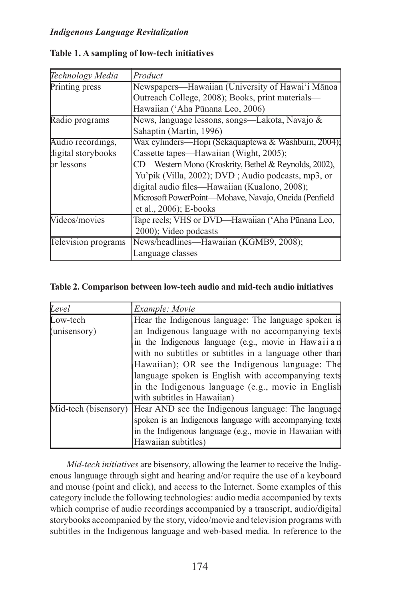| Technology Media    | Product                                               |
|---------------------|-------------------------------------------------------|
| Printing press      | Newspapers—Hawaiian (University of Hawai'i Mānoa      |
|                     | Outreach College, 2008); Books, print materials-      |
|                     | Hawaiian ('Aha Pūnana Leo, 2006)                      |
| Radio programs      | News, language lessons, songs—Lakota, Navajo &        |
|                     | Sahaptin (Martin, 1996)                               |
| Audio recordings,   | Wax cylinders—Hopi (Sekaquaptewa & Washburn, 2004);   |
| digital storybooks  | Cassette tapes—Hawaiian (Wight, 2005);                |
| br lessons          | CD—Western Mono (Kroskrity, Bethel & Reynolds, 2002), |
|                     | Yu'pik (Villa, 2002); DVD; Audio podcasts, mp3, or    |
|                     | digital audio files—Hawaiian (Kualono, 2008);         |
|                     | Microsoft PowerPoint-Mohave, Navajo, Oneida (Penfield |
|                     | et al., $2006$ ; E-books                              |
| Videos/movies       | Tape reels; VHS or DVD—Hawaiian ('Aha Pūnana Leo,     |
|                     | 2000); Video podcasts                                 |
| Television programs | News/headlines-Hawaiian (KGMB9, 2008);                |
|                     | Language classes                                      |

# **Table 1. A sampling of low-tech initiatives**

# **Table 2. Comparison between low-tech audio and mid-tech audio initiatives**

| Level                | Example: Movie                                           |
|----------------------|----------------------------------------------------------|
| Low-tech             | Hear the Indigenous language: The language spoken is     |
| (unisensory)         | an Indigenous language with no accompanying texts        |
|                      | in the Indigenous language (e.g., movie in Hawaii an     |
|                      | with no subtitles or subtitles in a language other than  |
|                      | Hawaiian); OR see the Indigenous language: The           |
|                      | language spoken is English with accompanying texts       |
|                      | in the Indigenous language (e.g., movie in English       |
|                      | with subtitles in Hawaiian)                              |
| Mid-tech (bisensory) | Hear AND see the Indigenous language: The language       |
|                      | spoken is an Indigenous language with accompanying texts |
|                      | in the Indigenous language (e.g., movie in Hawaiian with |
|                      | Hawaiian subtitles)                                      |

*Mid-tech initiatives* are bisensory, allowing the learner to receive the Indigenous language through sight and hearing and/or require the use of a keyboard and mouse (point and click), and access to the Internet. Some examples of this category include the following technologies: audio media accompanied by texts which comprise of audio recordings accompanied by a transcript, audio/digital storybooks accompanied by the story, video/movie and television programs with subtitles in the Indigenous language and web-based media. In reference to the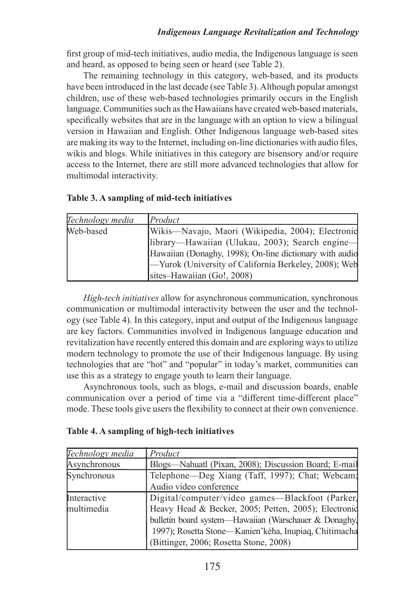first group of mid-tech initiatives, audio media, the Indigenous language is seen and heard, as opposed to being seen or heard (see Table 2).

The remaining technology in this category, web-based, and its products have been introduced in the last decade (see Table 3). Although popular amongst children, use of these web-based technologies primarily occurs in the English language. Communities such as the Hawaiians have created web-based materials, specifically websites that are in the language with an option to view a bilingual version in Hawaiian and English. Other Indigenous language web-based sites are making its way to the Internet, including on-line dictionaries with audio files, wikis and blogs. While initiatives in this category are bisensory and/or require access to the Internet, there are still more advanced technologies that allow for multimodal interactivity.

|  |  |  |  | Table 3. A sampling of mid-tech initiatives |
|--|--|--|--|---------------------------------------------|
|--|--|--|--|---------------------------------------------|

| Technology media | $P_{\text{roduct}}$                                     |
|------------------|---------------------------------------------------------|
| Web-based        | Wikis-Navajo, Maori (Wikipedia, 2004); Electronic       |
|                  | library-Hawaiian (Ulukau, 2003); Search engine-         |
|                  | Hawaiian (Donaghy, 1998); On-line dictionary with audio |
|                  | -Yurok (University of California Berkeley, 2008); Web   |
|                  | sites-Hawaiian (Go!, 2008)                              |

*High-tech initiatives* allow for asynchronous communication, synchronous communication or multimodal interactivity between the user and the technology (see Table 4). In this category, input and output of the Indigenous language are key factors. Communities involved in Indigenous language education and revitalization have recently entered this domain and are exploring ways to utilize modern technology to promote the use of their Indigenous language. By using technologies that are "hot" and "popular" in today's market, communities can use this as a strategy to engage youth to learn their language.

Asynchronous tools, such as blogs, e-mail and discussion boards, enable communication over a period of time via a "different time-different place" mode. These tools give users the flexibility to connect at their own convenience.

| Technology media | Product                                               |
|------------------|-------------------------------------------------------|
| Asynchronous     | Blogs—Nahuatl (Pixan, 2008); Discussion Board; E-mail |
| Synchronous      | Telephone—Deg Xiang (Taff, 1997); Chat; Webcam;       |
|                  | Audio video conference                                |
| Interactive      | Digital/computer/video games-Blackfoot (Parker)       |
| multimedia       | Heavy Head & Becker, 2005; Petten, 2005); Electronic  |
|                  | bulletin board system-Hawaiian (Warschauer & Donaghy, |
|                  | 1997); Rosetta Stone-Kanien'kéha, Inupiaq, Chitimacha |
|                  | (Bittinger, 2006; Rosetta Stone, 2008)                |

| Table 4. A sampling of high-tech initiatives |  |  |
|----------------------------------------------|--|--|
|----------------------------------------------|--|--|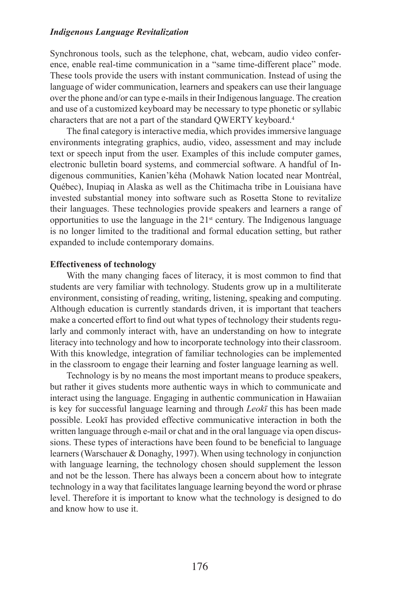Synchronous tools, such as the telephone, chat, webcam, audio video conference, enable real-time communication in a "same time-different place" mode. These tools provide the users with instant communication. Instead of using the language of wider communication, learners and speakers can use their language over the phone and/or can type e-mails in their Indigenous language. The creation and use of a customized keyboard may be necessary to type phonetic or syllabic characters that are not a part of the standard QWERTY keyboard.4

The final category is interactive media, which provides immersive language environments integrating graphics, audio, video, assessment and may include text or speech input from the user. Examples of this include computer games, electronic bulletin board systems, and commercial software. A handful of Indigenous communities, Kanien'kéha (Mohawk Nation located near Montréal, Québec), Inupiaq in Alaska as well as the Chitimacha tribe in Louisiana have invested substantial money into software such as Rosetta Stone to revitalize their languages. These technologies provide speakers and learners a range of opportunities to use the language in the 21st century. The Indigenous language is no longer limited to the traditional and formal education setting, but rather expanded to include contemporary domains.

#### **Effectiveness of technology**

With the many changing faces of literacy, it is most common to find that students are very familiar with technology. Students grow up in a multiliterate environment, consisting of reading, writing, listening, speaking and computing. Although education is currently standards driven, it is important that teachers make a concerted effort to find out what types of technology their students regularly and commonly interact with, have an understanding on how to integrate literacy into technology and how to incorporate technology into their classroom. With this knowledge, integration of familiar technologies can be implemented in the classroom to engage their learning and foster language learning as well.

Technology is by no means the most important means to produce speakers, but rather it gives students more authentic ways in which to communicate and interact using the language. Engaging in authentic communication in Hawaiian is key for successful language learning and through *Leokī* this has been made possible. Leokī has provided effective communicative interaction in both the written language through e-mail or chat and in the oral language via open discussions. These types of interactions have been found to be beneficial to language learners (Warschauer & Donaghy, 1997). When using technology in conjunction with language learning, the technology chosen should supplement the lesson and not be the lesson. There has always been a concern about how to integrate technology in a way that facilitates language learning beyond the word or phrase level. Therefore it is important to know what the technology is designed to do and know how to use it.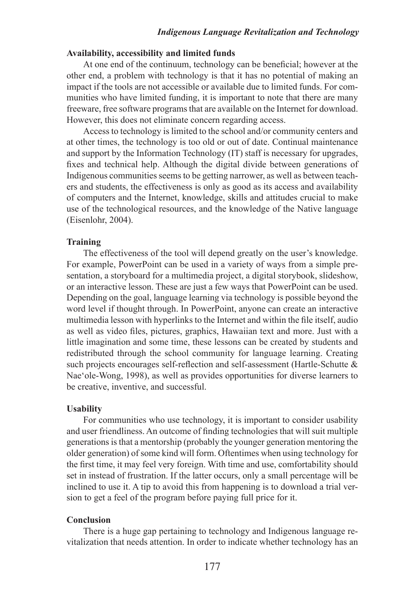# **Availability, accessibility and limited funds**

At one end of the continuum, technology can be beneficial; however at the other end, a problem with technology is that it has no potential of making an impact if the tools are not accessible or available due to limited funds. For communities who have limited funding, it is important to note that there are many freeware, free software programs that are available on the Internet for download. However, this does not eliminate concern regarding access.

Access to technology is limited to the school and/or community centers and at other times, the technology is too old or out of date. Continual maintenance and support by the Information Technology (IT) staff is necessary for upgrades, fixes and technical help. Although the digital divide between generations of Indigenous communities seems to be getting narrower, as well as between teachers and students, the effectiveness is only as good as its access and availability of computers and the Internet, knowledge, skills and attitudes crucial to make use of the technological resources, and the knowledge of the Native language (Eisenlohr, 2004).

#### **Training**

The effectiveness of the tool will depend greatly on the user's knowledge. For example, PowerPoint can be used in a variety of ways from a simple presentation, a storyboard for a multimedia project, a digital storybook, slideshow, or an interactive lesson. These are just a few ways that PowerPoint can be used. Depending on the goal, language learning via technology is possible beyond the word level if thought through. In PowerPoint, anyone can create an interactive multimedia lesson with hyperlinks to the Internet and within the file itself, audio as well as video files, pictures, graphics, Hawaiian text and more. Just with a little imagination and some time, these lessons can be created by students and redistributed through the school community for language learning. Creating such projects encourages self-reflection and self-assessment (Hartle-Schutte & Nae'ole-Wong, 1998), as well as provides opportunities for diverse learners to be creative, inventive, and successful.

#### **Usability**

For communities who use technology, it is important to consider usability and user friendliness. An outcome of finding technologies that will suit multiple generations is that a mentorship (probably the younger generation mentoring the older generation) of some kind will form. Oftentimes when using technology for the first time, it may feel very foreign. With time and use, comfortability should set in instead of frustration. If the latter occurs, only a small percentage will be inclined to use it. A tip to avoid this from happening is to download a trial version to get a feel of the program before paying full price for it.

#### **Conclusion**

There is a huge gap pertaining to technology and Indigenous language revitalization that needs attention. In order to indicate whether technology has an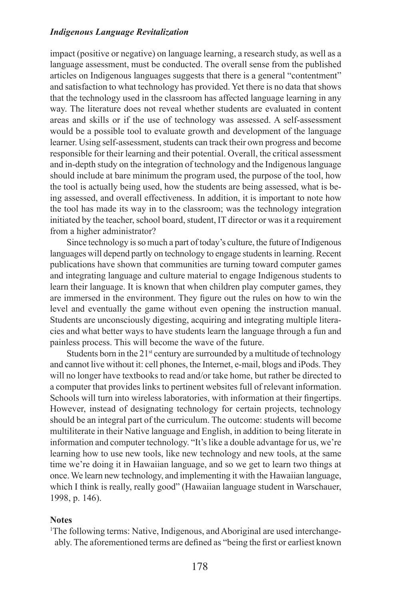impact (positive or negative) on language learning, a research study, as well as a language assessment, must be conducted. The overall sense from the published articles on Indigenous languages suggests that there is a general "contentment" and satisfaction to what technology has provided. Yet there is no data that shows that the technology used in the classroom has affected language learning in any way. The literature does not reveal whether students are evaluated in content areas and skills or if the use of technology was assessed. A self-assessment would be a possible tool to evaluate growth and development of the language learner. Using self-assessment, students can track their own progress and become responsible for their learning and their potential. Overall, the critical assessment and in-depth study on the integration of technology and the Indigenous language should include at bare minimum the program used, the purpose of the tool, how the tool is actually being used, how the students are being assessed, what is being assessed, and overall effectiveness. In addition, it is important to note how the tool has made its way in to the classroom; was the technology integration initiated by the teacher, school board, student, IT director or was it a requirement from a higher administrator?

Since technology is so much a part of today's culture, the future of Indigenous languages will depend partly on technology to engage students in learning. Recent publications have shown that communities are turning toward computer games and integrating language and culture material to engage Indigenous students to learn their language. It is known that when children play computer games, they are immersed in the environment. They figure out the rules on how to win the level and eventually the game without even opening the instruction manual. Students are unconsciously digesting, acquiring and integrating multiple literacies and what better ways to have students learn the language through a fun and painless process. This will become the wave of the future.

Students born in the  $21<sup>st</sup>$  century are surrounded by a multitude of technology and cannot live without it: cell phones, the Internet, e-mail, blogs and iPods. They will no longer have textbooks to read and/or take home, but rather be directed to a computer that provides links to pertinent websites full of relevant information. Schools will turn into wireless laboratories, with information at their fingertips. However, instead of designating technology for certain projects, technology should be an integral part of the curriculum. The outcome: students will become multiliterate in their Native language and English, in addition to being literate in information and computer technology. "It's like a double advantage for us, we're learning how to use new tools, like new technology and new tools, at the same time we're doing it in Hawaiian language, and so we get to learn two things at once. We learn new technology, and implementing it with the Hawaiian language, which I think is really, really good" (Hawaiian language student in Warschauer, 1998, p. 146).

#### **Notes**

<sup>1</sup>The following terms: Native, Indigenous, and Aboriginal are used interchangeably. The aforementioned terms are defined as "being the first or earliest known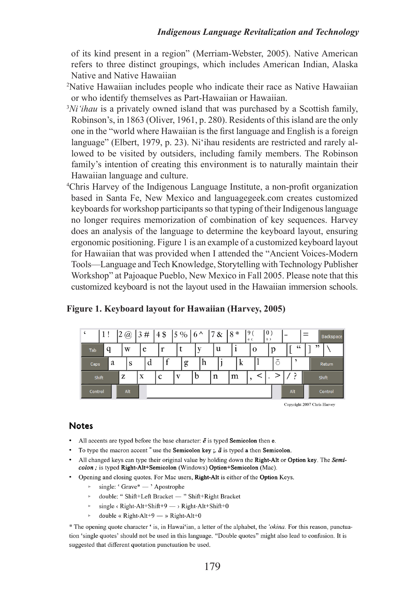of its kind present in a region" (Merriam-Webster, 2005). Native American refers to three distinct groupings, which includes American Indian, Alaska Native and Native Hawaiian

- 2 Native Hawaiian includes people who indicate their race as Native Hawaiian or who identify themselves as Part-Hawaiian or Hawaiian.
- 3 *Ni'ihau* is a privately owned island that was purchased by a Scottish family, Robinson's, in 1863 (Oliver, 1961, p. 280). Residents of this island are the only one in the "world where Hawaiian is the first language and English is a foreign language" (Elbert, 1979, p. 23). Ni'ihau residents are restricted and rarely allowed to be visited by outsiders, including family members. The Robinson family's intention of creating this environment is to naturally maintain their Hawaiian language and culture.
- 4 Chris Harvey of the Indigenous Language Institute, a non-profit organization based in Santa Fe, New Mexico and [languagegeek.com](http://www.languagegeek.com/) creates customized keyboards for workshop participants so that typing of their Indigenous language no longer requires memorization of combination of key sequences. Harvey does an analysis of the language to determine the keyboard layout, ensuring ergonomic positioning. Figure 1 is an example of a customized keyboard layout for Hawaiian that was provided when I attended the "Ancient Voices-Modern Tools—Language and Tech Knowledge, Storytelling with Technology Publisher Workshop" at Pajoaque Pueblo, New Mexico in Fall 2005. Please note that this customized keyboard is not the layout used in the Hawaiian immersion schools.

| $\pmb{\zeta}$ | 1! |   | 2   | $\omega$ | 3# |   |    |  | $14\frac{1}{9}$ 5 % 6 ^ |   |    |   | 17 & |   | *<br>8 |  | $\Omega$<br>《く |  | $\mid 0$<br>$\n $ |  | $=$        |         | Backspace |  |  |  |  |
|---------------|----|---|-----|----------|----|---|----|--|-------------------------|---|----|---|------|---|--------|--|----------------|--|-------------------|--|------------|---------|-----------|--|--|--|--|
| Tab           | a  |   | W   |          | e  |   | 49 |  |                         |   |    | u |      |   |        |  | $\mathbf 0$    |  |                   |  | $\epsilon$ |         | ,,        |  |  |  |  |
| Caps          |    | a |     | S        |    | d |    |  | g                       |   | ١h |   |      |   | ĸ      |  |                |  | ō                 |  |            |         | Return    |  |  |  |  |
| Shift         |    |   | z   |          | X  |   | C  |  |                         | b |    | n |      | m |        |  |                |  |                   |  |            |         | Shift     |  |  |  |  |
| Control       |    |   | Alt |          |    |   |    |  |                         |   |    |   |      |   |        |  |                |  |                   |  | Alt        | Control |           |  |  |  |  |

## **Figure 1. Keyboard layout for Hawaiian (Harvey, 2005)**

Copyright 2007 Chris Harvey

## **Notes**

- All accents are typed before the base character:  $\vec{e}$  is typed **Semicolon** then **e**.
- To type the macron accent  $\bar{ }$  use the Semicolon key;  $\bar{a}$  is typed a then Semicolon.
- All changed keys can type their original value by holding down the Right-Alt or Option key. The Semicolon ; is typed Right-Alt+Semicolon (Windows) Option+Semicolon (Mac).
- Opening and closing quotes. For Mac users, Right-Alt is either of the Option Keys.
	- $\circ$  single: 'Grave\* 'Apostrophe
	- $\triangleright \quad \text{double: ``Shift+Left bracket} \xrightarrow{~~} \text{Shift+Right bracket}$
	- single <br/> < Right-Alt+Shift+9  $\longrightarrow$  Right-Alt+Shift+0
	- double « Right-Alt+9 » Right-Alt+0

\* The opening quote character ' is, in Hawai'ian, a letter of the alphabet, the 'okina. For this reason, punctuation 'single quotes' should not be used in this language. "Double quotes" might also lead to confusion. It is suggested that different quotation punctuation be used.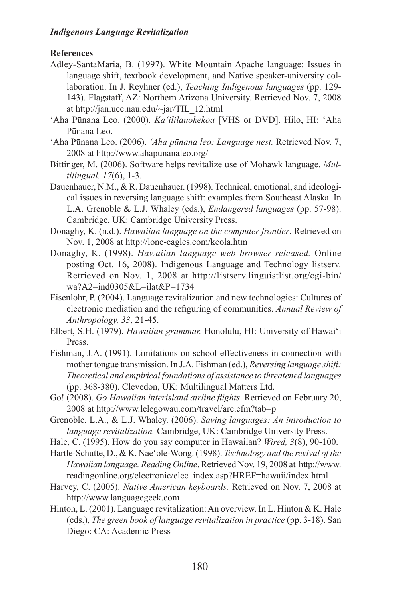# **References**

- Adley-SantaMaria, B. (1997). White Mountain Apache language: Issues in language shift, textbook development, and Native speaker-university collaboration. In J. Reyhner (ed.), *Teaching Indigenous languages* (pp. 129- 143). Flagstaff, AZ: Northern Arizona University. Retrieved Nov. 7, 2008 at [http://jan.ucc.nau.edu/~jar/TIL\\_12.html](http://jan.ucc.nau.edu/~jar/TIL_12.html)
- 'Aha Pūnana Leo. (2000). *Ka'ililauokekoa* [VHS or DVD]. Hilo, HI: 'Aha Pūnana Leo.
- 'Aha Pūnana Leo. (2006). *'Aha pūnana leo: Language nest.* Retrieved Nov. 7, 2008 at<http://www.ahapunanaleo.org/>
- Bittinger, M. (2006). Software helps revitalize use of Mohawk language. *Multilingual. 17*(6), 1-3.
- Dauenhauer, N.M., & R. Dauenhauer. (1998). Technical, emotional, and ideological issues in reversing language shift: examples from Southeast Alaska. In L.A. Grenoble & L.J. Whaley (eds.), *Endangered languages* (pp. 57-98). Cambridge, UK: Cambridge University Press.
- Donaghy, K. (n.d.). *Hawaiian language on the computer frontier*. Retrieved on Nov. 1, 2008 at <http://lone-eagles.com/keola.htm>
- Donaghy, K. (1998). *Hawaiian language web browser released.* Online posting Oct. 16, 2008). Indigenous Language and Technology listserv. Retrieved on Nov. 1, 2008 at [http://listserv.linguistlist.org/cgi-bin/](http://listserv.linguistlist.org/cgi-bin/wa?A2=ind0305&L=ilat&P=1734) [wa?A2=ind0305&L=ilat&P=1734](http://listserv.linguistlist.org/cgi-bin/wa?A2=ind0305&L=ilat&P=1734)
- Eisenlohr, P. (2004). Language revitalization and new technologies: Cultures of electronic mediation and the refiguring of communities. *Annual Review of Anthropology, 33*, 21-45.
- Elbert, S.H. (1979). *Hawaiian grammar.* Honolulu, HI: University of Hawai'i Press.
- Fishman, J.A. (1991). Limitations on school effectiveness in connection with mother tongue transmission. In J.A. Fishman (ed.), *Reversing language shift: Theoretical and empirical foundations of assistance to threatened languages*  (pp. 368-380). Clevedon, UK: Multilingual Matters Ltd.
- Go! (2008). *Go Hawaiian interisland airline flights*. Retrieved on February 20, 2008 at http://www.lelegowau.com/travel/arc.cfm?tab=p
- Grenoble, L.A., & L.J. Whaley. (2006). *Saving languages: An introduction to language revitalization.* Cambridge, UK: Cambridge University Press.
- Hale, C. (1995). How do you say computer in Hawaiian? *Wired, 3*(8), 90-100.
- Hartle-Schutte, D., & K. Nae'ole-Wong. (1998). *Technology and the revival of the Hawaiian language. Reading Online*. Retrieved Nov. 19, 2008 at [http://www.](http://www.readingonline.org/electronic/elec_index.asp?HREF=hawaii/index.html) [readingonline.org/electronic/elec\\_index.asp?HREF=hawaii/index.html](http://www.readingonline.org/electronic/elec_index.asp?HREF=hawaii/index.html)
- Harvey, C. (2005). *Native American keyboards.* Retrieved on Nov. 7, 2008 at [http://www.languagegeek.com](http://www.languagegeek.com/)
- Hinton, L. (2001). Language revitalization: An overview. In L. Hinton & K. Hale (eds.), *The green book of language revitalization in practice* (pp. 3-18). San Diego: CA: Academic Press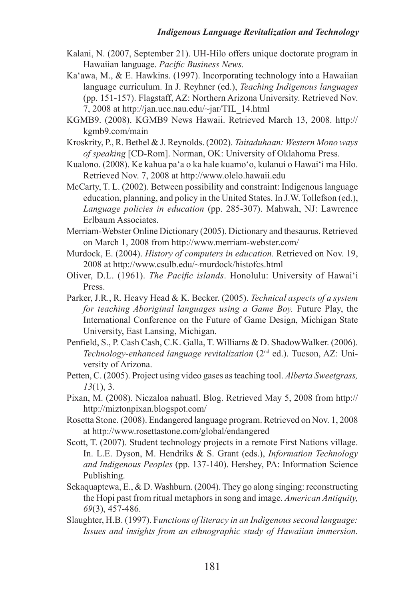- Kalani, N. (2007, September 21). UH-Hilo offers unique doctorate program in Hawaiian language. *Pacific Business News.*
- Ka'awa, M., & E. Hawkins. (1997). Incorporating technology into a Hawaiian language curriculum. In J. Reyhner (ed.), *Teaching Indigenous languages*  (pp. 151-157). Flagstaff, AZ: Northern Arizona University. Retrieved Nov. 7, 2008 at [http://jan.ucc.nau.edu/~jar/TIL\\_14.html](http://jan.ucc.nau.edu/~jar/TIL_14.html)
- KGMB9. (2008). KGMB9 News Hawaii. Retrieved March 13, 2008. http:// kgmb9.com/main
- Kroskrity, P., R. Bethel & J. Reynolds. (2002). *Taitaduhaan: Western Mono ways of speaking* [CD-Rom]. Norman, OK: University of Oklahoma Press.
- Kualono. (2008). Ke kahua pa'a o ka hale kuamo'o, kulanui o Hawai'i ma Hilo. Retrieved Nov. 7, 2008 at<http://www.olelo.hawaii.edu>
- McCarty, T. L. (2002). Between possibility and constraint: Indigenous language education, planning, and policy in the United States. In J.W. Tollefson (ed.), *Language policies in education* (pp. 285-307). Mahwah, NJ: Lawrence Erlbaum Associates.
- Merriam-Webster Online Dictionary (2005). Dictionary and thesaurus. Retrieved on March 1, 2008 from http://www.merriam-webster.com/
- Murdock, E. (2004). *History of computers in education.* Retrieved on Nov. 19, 2008 at<http://www.csulb.edu/~murdock/histofcs.html>
- Oliver, D.L. (1961). *The Pacific islands*. Honolulu: University of Hawai'i Press.
- Parker, J.R., R. Heavy Head & K. Becker. (2005). *Technical aspects of a system for teaching Aboriginal languages using a Game Boy.* Future Play, the International Conference on the Future of Game Design, Michigan State University, East Lansing, Michigan.
- Penfield, S., P. Cash Cash, C.K. Galla, T. Williams & D. ShadowWalker. (2006). *Technology-enhanced language revitalization* (2nd ed.). Tucson, AZ: University of Arizona.
- Petten, C. (2005). Project using video gases as teaching tool. *Alberta Sweetgrass, 13*(1), 3.
- Pixan, M. (2008). Niczaloa nahuatl. Blog. Retrieved May 5, 2008 from [http://](http://miztonpixan.blogspot.com/) <http://miztonpixan.blogspot.com/>
- Rosetta Stone. (2008). Endangered language program. Retrieved on Nov. 1, 2008 at <http://www.rosettastone.com/global/endangered>
- Scott, T. (2007). Student technology projects in a remote First Nations village. In. L.E. Dyson, M. Hendriks & S. Grant (eds.), *Information Technology and Indigenous Peoples* (pp. 137-140). Hershey, PA: Information Science Publishing.
- Sekaquaptewa, E., & D. Washburn. (2004). They go along singing: reconstructing the Hopi past from ritual metaphors in song and image. *American Antiquity, 69*(3), 457-486.
- Slaughter, H.B. (1997). F*unctions of literacy in an Indigenous second language: Issues and insights from an ethnographic study of Hawaiian immersion.*